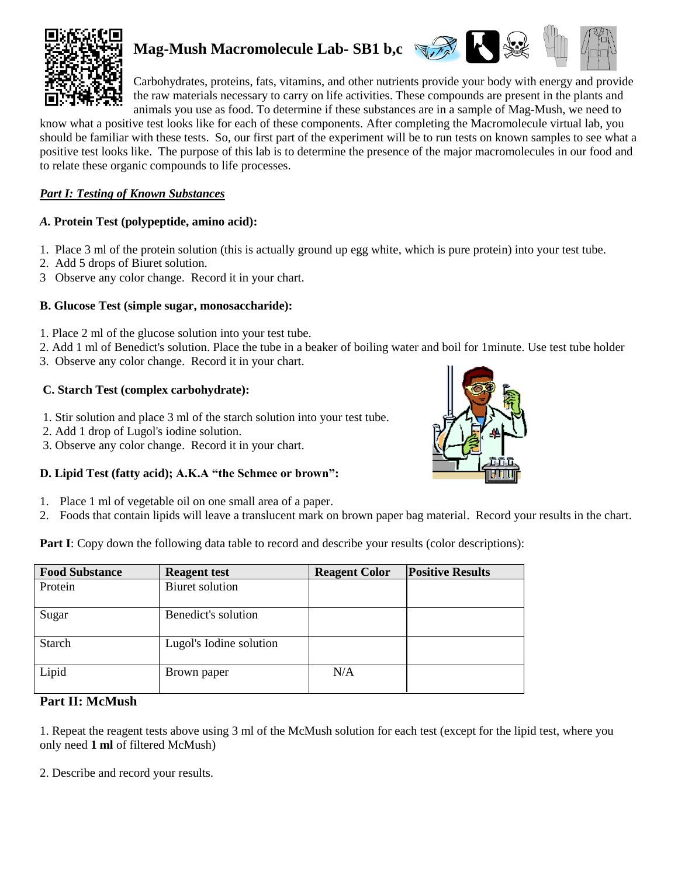

# **Mag-Mush Macromolecule Lab- SB1 b,c**



Carbohydrates, proteins, fats, vitamins, and other nutrients provide your body with energy and provide the raw materials necessary to carry on life activities. These compounds are present in the plants and animals you use as food. To determine if these substances are in a sample of Mag-Mush, we need to

know what a positive test looks like for each of these components. After completing the Macromolecule virtual lab, you should be familiar with these tests. So, our first part of the experiment will be to run tests on known samples to see what a positive test looks like. The purpose of this lab is to determine the presence of the major macromolecules in our food and to relate these organic compounds to life processes.

#### *Part I: Testing of Known Substances*

## *A.* **Protein Test (polypeptide, amino acid):**

- 1. Place 3 ml of the protein solution (this is actually ground up egg white, which is pure protein) into your test tube.
- 2. Add 5 drops of Biuret solution.
- 3 Observe any color change. Record it in your chart.

## **B. Glucose Test (simple sugar, monosaccharide):**

- 1. Place 2 ml of the glucose solution into your test tube.
- 2. Add 1 ml of Benedict's solution. Place the tube in a beaker of boiling water and boil for 1minute. Use test tube holder
- 3. Observe any color change. Record it in your chart.

## **C. Starch Test (complex carbohydrate):**

- 1. Stir solution and place 3 ml of the starch solution into your test tube.
- 2. Add 1 drop of Lugol's iodine solution.
- 3. Observe any color change. Record it in your chart.

## **D. Lipid Test (fatty acid); A.K.A "the Schmee or brown":**

- 1. Place 1 ml of vegetable oil on one small area of a paper.
- 2. Foods that contain lipids will leave a translucent mark on brown paper bag material. Record your results in the chart.

**Part I**: Copy down the following data table to record and describe your results (color descriptions):

| <b>Food Substance</b> | <b>Reagent test</b>     | <b>Reagent Color</b> | <b>Positive Results</b> |
|-----------------------|-------------------------|----------------------|-------------------------|
| Protein               | Biuret solution         |                      |                         |
| Sugar                 | Benedict's solution     |                      |                         |
| <b>Starch</b>         | Lugol's Iodine solution |                      |                         |
| Lipid                 | Brown paper             | N/A                  |                         |

## **Part II: McMush**

1. Repeat the reagent tests above using 3 ml of the McMush solution for each test (except for the lipid test, where you only need **1 ml** of filtered McMush)

2. Describe and record your results.